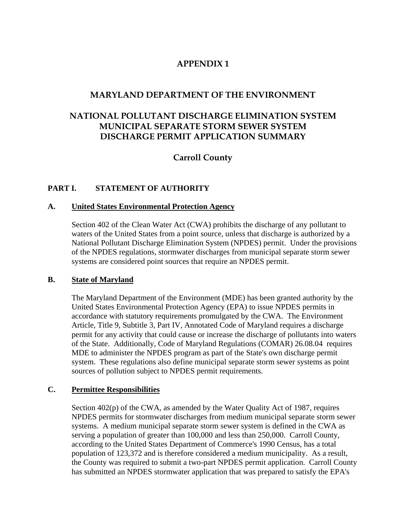# **APPENDIX 1**

# **MARYLAND DEPARTMENT OF THE ENVIRONMENT**

# **NATIONAL POLLUTANT DISCHARGE ELIMINATION SYSTEM MUNICIPAL SEPARATE STORM SEWER SYSTEM DISCHARGE PERMIT APPLICATION SUMMARY**

# **Carroll County**

# **PART I. STATEMENT OF AUTHORITY**

#### **A. United States Environmental Protection Agency**

 Section 402 of the Clean Water Act (CWA) prohibits the discharge of any pollutant to waters of the United States from a point source, unless that discharge is authorized by a National Pollutant Discharge Elimination System (NPDES) permit. Under the provisions of the NPDES regulations, stormwater discharges from municipal separate storm sewer systems are considered point sources that require an NPDES permit.

# **B. State of Maryland**

 The Maryland Department of the Environment (MDE) has been granted authority by the United States Environmental Protection Agency (EPA) to issue NPDES permits in accordance with statutory requirements promulgated by the CWA. The Environment Article, Title 9, Subtitle 3, Part IV, Annotated Code of Maryland requires a discharge permit for any activity that could cause or increase the discharge of pollutants into waters of the State. Additionally, Code of Maryland Regulations (COMAR) 26.08.04 requires MDE to administer the NPDES program as part of the State's own discharge permit system. These regulations also define municipal separate storm sewer systems as point sources of pollution subject to NPDES permit requirements.

# **C. Permittee Responsibilities**

 Section 402(p) of the CWA, as amended by the Water Quality Act of 1987, requires NPDES permits for stormwater discharges from medium municipal separate storm sewer systems. A medium municipal separate storm sewer system is defined in the CWA as serving a population of greater than 100,000 and less than 250,000. Carroll County, according to the United States Department of Commerce's 1990 Census, has a total population of 123,372 and is therefore considered a medium municipality. As a result, the County was required to submit a two-part NPDES permit application. Carroll County has submitted an NPDES stormwater application that was prepared to satisfy the EPA's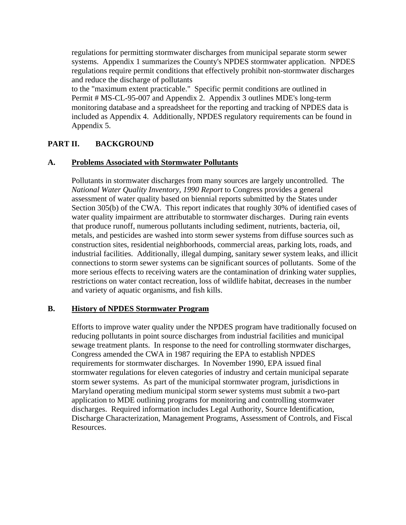regulations for permitting stormwater discharges from municipal separate storm sewer systems. Appendix 1 summarizes the County's NPDES stormwater application. NPDES regulations require permit conditions that effectively prohibit non-stormwater discharges and reduce the discharge of pollutants

 to the "maximum extent practicable." Specific permit conditions are outlined in Permit # MS-CL-95-007 and Appendix 2. Appendix 3 outlines MDE's long-term monitoring database and a spreadsheet for the reporting and tracking of NPDES data is included as Appendix 4. Additionally, NPDES regulatory requirements can be found in Appendix 5.

# **PART II. BACKGROUND**

#### **A. Problems Associated with Stormwater Pollutants**

 Pollutants in stormwater discharges from many sources are largely uncontrolled. The *National Water Quality Inventory, 1990 Report* to Congress provides a general assessment of water quality based on biennial reports submitted by the States under Section 305(b) of the CWA. This report indicates that roughly 30% of identified cases of water quality impairment are attributable to stormwater discharges. During rain events that produce runoff, numerous pollutants including sediment, nutrients, bacteria, oil, metals, and pesticides are washed into storm sewer systems from diffuse sources such as construction sites, residential neighborhoods, commercial areas, parking lots, roads, and industrial facilities. Additionally, illegal dumping, sanitary sewer system leaks, and illicit connections to storm sewer systems can be significant sources of pollutants. Some of the more serious effects to receiving waters are the contamination of drinking water supplies, restrictions on water contact recreation, loss of wildlife habitat, decreases in the number and variety of aquatic organisms, and fish kills.

# **B. History of NPDES Stormwater Program**

 Efforts to improve water quality under the NPDES program have traditionally focused on reducing pollutants in point source discharges from industrial facilities and municipal sewage treatment plants. In response to the need for controlling stormwater discharges, Congress amended the CWA in 1987 requiring the EPA to establish NPDES requirements for stormwater discharges. In November 1990, EPA issued final stormwater regulations for eleven categories of industry and certain municipal separate storm sewer systems. As part of the municipal stormwater program, jurisdictions in Maryland operating medium municipal storm sewer systems must submit a two-part application to MDE outlining programs for monitoring and controlling stormwater discharges. Required information includes Legal Authority, Source Identification, Discharge Characterization, Management Programs, Assessment of Controls, and Fiscal Resources.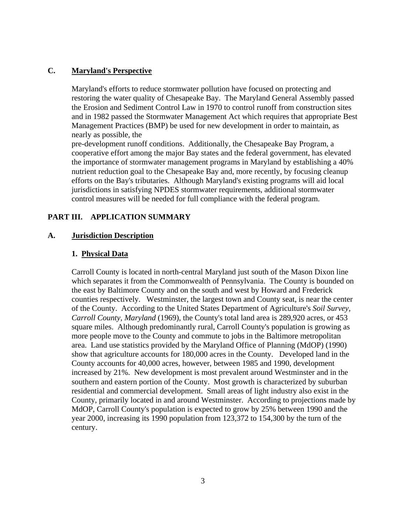# **C. Maryland's Perspective**

 Maryland's efforts to reduce stormwater pollution have focused on protecting and restoring the water quality of Chesapeake Bay. The Maryland General Assembly passed the Erosion and Sediment Control Law in 1970 to control runoff from construction sites and in 1982 passed the Stormwater Management Act which requires that appropriate Best Management Practices (BMP) be used for new development in order to maintain, as nearly as possible, the

 pre-development runoff conditions. Additionally, the Chesapeake Bay Program, a cooperative effort among the major Bay states and the federal government, has elevated the importance of stormwater management programs in Maryland by establishing a 40% nutrient reduction goal to the Chesapeake Bay and, more recently, by focusing cleanup efforts on the Bay's tributaries. Although Maryland's existing programs will aid local jurisdictions in satisfying NPDES stormwater requirements, additional stormwater control measures will be needed for full compliance with the federal program.

# **PART III. APPLICATION SUMMARY**

# **A. Jurisdiction Description**

# **1. Physical Data**

 Carroll County is located in north-central Maryland just south of the Mason Dixon line which separates it from the Commonwealth of Pennsylvania. The County is bounded on the east by Baltimore County and on the south and west by Howard and Frederick counties respectively. Westminster, the largest town and County seat, is near the center of the County. According to the United States Department of Agriculture's *Soil Survey, Carroll County, Maryland* (1969), the County's total land area is 289,920 acres, or 453 square miles. Although predominantly rural, Carroll County's population is growing as more people move to the County and commute to jobs in the Baltimore metropolitan area. Land use statistics provided by the Maryland Office of Planning (MdOP) (1990) show that agriculture accounts for 180,000 acres in the County. Developed land in the County accounts for 40,000 acres, however, between 1985 and 1990, development increased by 21%. New development is most prevalent around Westminster and in the southern and eastern portion of the County. Most growth is characterized by suburban residential and commercial development. Small areas of light industry also exist in the County, primarily located in and around Westminster. According to projections made by MdOP, Carroll County's population is expected to grow by 25% between 1990 and the year 2000, increasing its 1990 population from 123,372 to 154,300 by the turn of the century.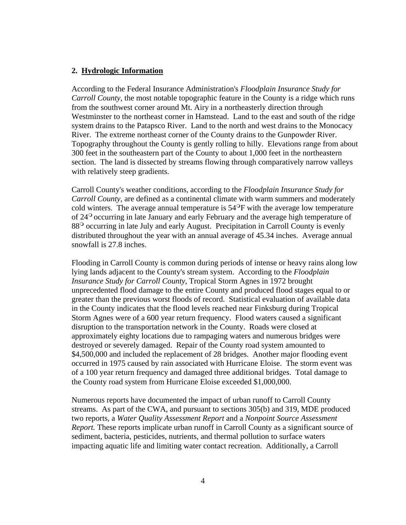#### **2. Hydrologic Information**

 According to the Federal Insurance Administration's *Floodplain Insurance Study for Carroll County*, the most notable topographic feature in the County is a ridge which runs from the southwest corner around Mt. Airy in a northeasterly direction through Westminster to the northeast corner in Hamstead. Land to the east and south of the ridge system drains to the Patapsco River. Land to the north and west drains to the Monocacy River. The extreme northeast corner of the County drains to the Gunpowder River. Topography throughout the County is gently rolling to hilly. Elevations range from about 300 feet in the southeastern part of the County to about 1,000 feet in the northeastern section. The land is dissected by streams flowing through comparatively narrow valleys with relatively steep gradients.

 Carroll County's weather conditions, according to the *Floodplain Insurance Study for Carroll County*, are defined as a continental climate with warm summers and moderately cold winters. The average annual temperature is  $54^{\circ}$ F with the average low temperature of 24 occurring in late January and early February and the average high temperature of 88<sup>o</sup> occurring in late July and early August. Precipitation in Carroll County is evenly distributed throughout the year with an annual average of 45.34 inches. Average annual snowfall is 27.8 inches.

 Flooding in Carroll County is common during periods of intense or heavy rains along low lying lands adjacent to the County's stream system. According to the *Floodplain Insurance Study for Carroll County*, Tropical Storm Agnes in 1972 brought unprecedented flood damage to the entire County and produced flood stages equal to or greater than the previous worst floods of record. Statistical evaluation of available data in the County indicates that the flood levels reached near Finksburg during Tropical Storm Agnes were of a 600 year return frequency. Flood waters caused a significant disruption to the transportation network in the County. Roads were closed at approximately eighty locations due to rampaging waters and numerous bridges were destroyed or severely damaged. Repair of the County road system amounted to \$4,500,000 and included the replacement of 28 bridges. Another major flooding event occurred in 1975 caused by rain associated with Hurricane Eloise. The storm event was of a 100 year return frequency and damaged three additional bridges. Total damage to the County road system from Hurricane Eloise exceeded \$1,000,000.

 Numerous reports have documented the impact of urban runoff to Carroll County streams. As part of the CWA, and pursuant to sections 305(b) and 319, MDE produced two reports, a *Water Quality Assessment Report* and a *Nonpoint Source Assessment Report.* These reports implicate urban runoff in Carroll County as a significant source of sediment, bacteria, pesticides, nutrients, and thermal pollution to surface waters impacting aquatic life and limiting water contact recreation. Additionally, a Carroll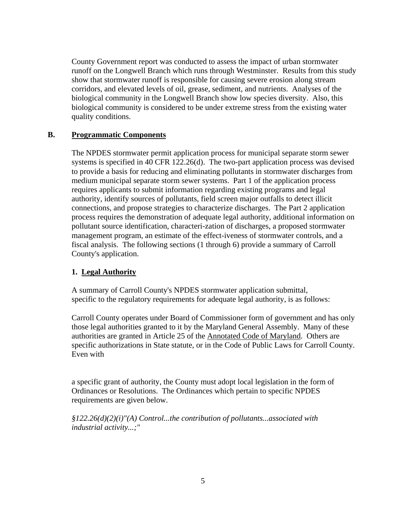County Government report was conducted to assess the impact of urban stormwater runoff on the Longwell Branch which runs through Westminster. Results from this study show that stormwater runoff is responsible for causing severe erosion along stream corridors, and elevated levels of oil, grease, sediment, and nutrients. Analyses of the biological community in the Longwell Branch show low species diversity. Also, this biological community is considered to be under extreme stress from the existing water quality conditions.

# **B. Programmatic Components**

 The NPDES stormwater permit application process for municipal separate storm sewer systems is specified in 40 CFR 122.26(d). The two-part application process was devised to provide a basis for reducing and eliminating pollutants in stormwater discharges from medium municipal separate storm sewer systems. Part 1 of the application process requires applicants to submit information regarding existing programs and legal authority, identify sources of pollutants, field screen major outfalls to detect illicit connections, and propose strategies to characterize discharges. The Part 2 application process requires the demonstration of adequate legal authority, additional information on pollutant source identification, characteri-zation of discharges, a proposed stormwater management program, an estimate of the effect-iveness of stormwater controls, and a fiscal analysis. The following sections (1 through 6) provide a summary of Carroll County's application.

# **1. Legal Authority**

 A summary of Carroll County's NPDES stormwater application submittal, specific to the regulatory requirements for adequate legal authority, is as follows:

 Carroll County operates under Board of Commissioner form of government and has only those legal authorities granted to it by the Maryland General Assembly. Many of these authorities are granted in Article 25 of the Annotated Code of Maryland. Others are specific authorizations in State statute, or in the Code of Public Laws for Carroll County. Even with

 a specific grant of authority, the County must adopt local legislation in the form of Ordinances or Resolutions. The Ordinances which pertain to specific NPDES requirements are given below.

 *§122.26(d)(2)(i)"(A) Control...the contribution of pollutants...associated with industrial activity...;"*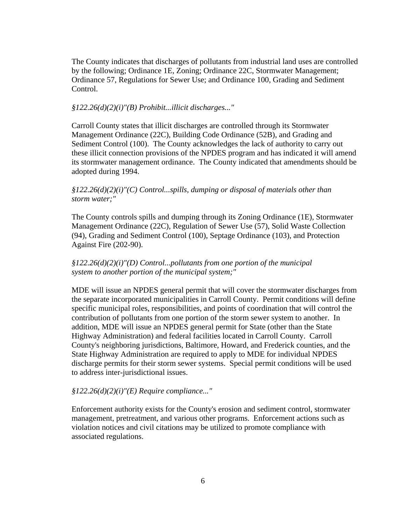The County indicates that discharges of pollutants from industrial land uses are controlled by the following; Ordinance 1E, Zoning; Ordinance 22C, Stormwater Management; Ordinance 57, Regulations for Sewer Use; and Ordinance 100, Grading and Sediment Control.

#### *§122.26(d)(2)(i)"(B) Prohibit...illicit discharges..."*

 Carroll County states that illicit discharges are controlled through its Stormwater Management Ordinance (22C), Building Code Ordinance (52B), and Grading and Sediment Control (100). The County acknowledges the lack of authority to carry out these illicit connection provisions of the NPDES program and has indicated it will amend its stormwater management ordinance. The County indicated that amendments should be adopted during 1994.

### *§122.26(d)(2)(i)"(C) Control...spills, dumping or disposal of materials other than storm water;"*

 The County controls spills and dumping through its Zoning Ordinance (1E), Stormwater Management Ordinance (22C), Regulation of Sewer Use (57), Solid Waste Collection (94), Grading and Sediment Control (100), Septage Ordinance (103), and Protection Against Fire (202-90).

# *§122.26(d)(2)(i)"(D) Control...pollutants from one portion of the municipal system to another portion of the municipal system;"*

 MDE will issue an NPDES general permit that will cover the stormwater discharges from the separate incorporated municipalities in Carroll County. Permit conditions will define specific municipal roles, responsibilities, and points of coordination that will control the contribution of pollutants from one portion of the storm sewer system to another. In addition, MDE will issue an NPDES general permit for State (other than the State Highway Administration) and federal facilities located in Carroll County. Carroll County's neighboring jurisdictions, Baltimore, Howard, and Frederick counties, and the State Highway Administration are required to apply to MDE for individual NPDES discharge permits for their storm sewer systems. Special permit conditions will be used to address inter-jurisdictional issues.

# *§122.26(d)(2)(i)"(E) Require compliance..."*

 Enforcement authority exists for the County's erosion and sediment control, stormwater management, pretreatment, and various other programs. Enforcement actions such as violation notices and civil citations may be utilized to promote compliance with associated regulations.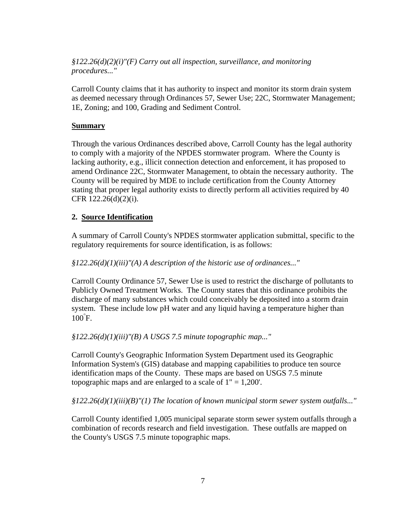*§122.26(d)(2)(i)"(F) Carry out all inspection, surveillance, and monitoring procedures..."*

 Carroll County claims that it has authority to inspect and monitor its storm drain system as deemed necessary through Ordinances 57, Sewer Use; 22C, Stormwater Management; 1E, Zoning; and 100, Grading and Sediment Control.

### **Summary**

 Through the various Ordinances described above, Carroll County has the legal authority to comply with a majority of the NPDES stormwater program. Where the County is lacking authority, e.g., illicit connection detection and enforcement, it has proposed to amend Ordinance 22C, Stormwater Management, to obtain the necessary authority. The County will be required by MDE to include certification from the County Attorney stating that proper legal authority exists to directly perform all activities required by 40 CFR 122.26(d)(2)(i).

# **2. Source Identification**

 A summary of Carroll County's NPDES stormwater application submittal, specific to the regulatory requirements for source identification, is as follows:

#### *§122.26(d)(1)(iii)"(A) A description of the historic use of ordinances..."*

 Carroll County Ordinance 57, Sewer Use is used to restrict the discharge of pollutants to Publicly Owned Treatment Works. The County states that this ordinance prohibits the discharge of many substances which could conceivably be deposited into a storm drain system. These include low pH water and any liquid having a temperature higher than 100° F.

#### *§122.26(d)(1)(iii)"(B) A USGS 7.5 minute topographic map..."*

 Carroll County's Geographic Information System Department used its Geographic Information System's (GIS) database and mapping capabilities to produce ten source identification maps of the County. These maps are based on USGS 7.5 minute topographic maps and are enlarged to a scale of 1" = 1,200'.

 *§122.26(d)(1)(iii)(B)"(1) The location of known municipal storm sewer system outfalls..."* 

 Carroll County identified 1,005 municipal separate storm sewer system outfalls through a combination of records research and field investigation. These outfalls are mapped on the County's USGS 7.5 minute topographic maps.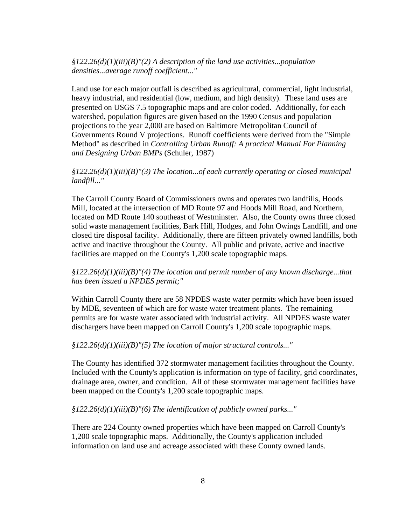*§122.26(d)(1)(iii)(B)"(2) A description of the land use activities...population densities...average runoff coefficient..."*

 Land use for each major outfall is described as agricultural, commercial, light industrial, heavy industrial, and residential (low, medium, and high density). These land uses are presented on USGS 7.5 topographic maps and are color coded. Additionally, for each watershed, population figures are given based on the 1990 Census and population projections to the year 2,000 are based on Baltimore Metropolitan Council of Governments Round V projections. Runoff coefficients were derived from the "Simple Method" as described in *Controlling Urban Runoff: A practical Manual For Planning and Designing Urban BMPs* (Schuler, 1987)

#### *§122.26(d)(1)(iii)(B)"(3) The location...of each currently operating or closed municipal landfill..."*

 The Carroll County Board of Commissioners owns and operates two landfills, Hoods Mill, located at the intersection of MD Route 97 and Hoods Mill Road, and Northern, located on MD Route 140 southeast of Westminster. Also, the County owns three closed solid waste management facilities, Bark Hill, Hodges, and John Owings Landfill, and one closed tire disposal facility. Additionally, there are fifteen privately owned landfills, both active and inactive throughout the County. All public and private, active and inactive facilities are mapped on the County's 1,200 scale topographic maps.

# *§122.26(d)(1)(iii)(B)"(4) The location and permit number of any known discharge...that has been issued a NPDES permit;"*

 Within Carroll County there are 58 NPDES waste water permits which have been issued by MDE, seventeen of which are for waste water treatment plants. The remaining permits are for waste water associated with industrial activity. All NPDES waste water dischargers have been mapped on Carroll County's 1,200 scale topographic maps.

#### *§122.26(d)(1)(iii)(B)"(5) The location of major structural controls..."*

 The County has identified 372 stormwater management facilities throughout the County. Included with the County's application is information on type of facility, grid coordinates, drainage area, owner, and condition. All of these stormwater management facilities have been mapped on the County's 1,200 scale topographic maps.

 *§122.26(d)(1)(iii)(B)"(6) The identification of publicly owned parks..."*

 There are 224 County owned properties which have been mapped on Carroll County's 1,200 scale topographic maps. Additionally, the County's application included information on land use and acreage associated with these County owned lands.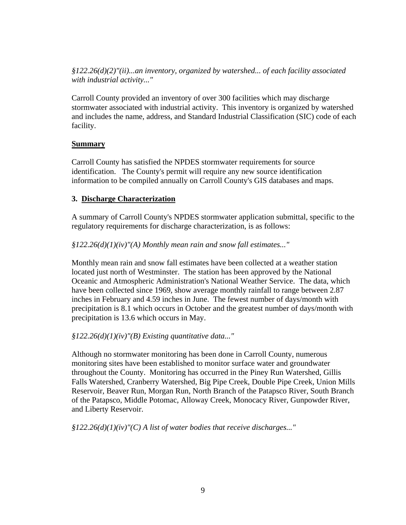*§122.26(d)(2)"(ii)...an inventory, organized by watershed... of each facility associated with industrial activity..."*

 Carroll County provided an inventory of over 300 facilities which may discharge stormwater associated with industrial activity. This inventory is organized by watershed and includes the name, address, and Standard Industrial Classification (SIC) code of each facility.

# **Summary**

 Carroll County has satisfied the NPDES stormwater requirements for source identification. The County's permit will require any new source identification information to be compiled annually on Carroll County's GIS databases and maps.

# **3. Discharge Characterization**

 A summary of Carroll County's NPDES stormwater application submittal, specific to the regulatory requirements for discharge characterization, is as follows:

# *§122.26(d)(1)(iv)"(A) Monthly mean rain and snow fall estimates..."*

 Monthly mean rain and snow fall estimates have been collected at a weather station located just north of Westminster. The station has been approved by the National Oceanic and Atmospheric Administration's National Weather Service. The data, which have been collected since 1969, show average monthly rainfall to range between 2.87 inches in February and 4.59 inches in June. The fewest number of days/month with precipitation is 8.1 which occurs in October and the greatest number of days/month with precipitation is 13.6 which occurs in May.

# *§122.26(d)(1)(iv)"(B) Existing quantitative data..."*

 Although no stormwater monitoring has been done in Carroll County, numerous monitoring sites have been established to monitor surface water and groundwater throughout the County. Monitoring has occurred in the Piney Run Watershed, Gillis Falls Watershed, Cranberry Watershed, Big Pipe Creek, Double Pipe Creek, Union Mills Reservoir, Beaver Run, Morgan Run, North Branch of the Patapsco River, South Branch of the Patapsco, Middle Potomac, Alloway Creek, Monocacy River, Gunpowder River, and Liberty Reservoir.

 *§122.26(d)(1)(iv)"(C) A list of water bodies that receive discharges..."*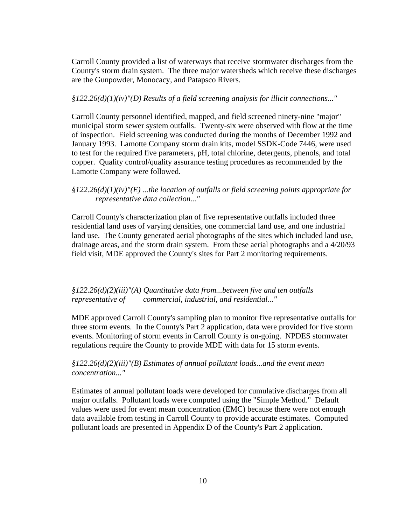Carroll County provided a list of waterways that receive stormwater discharges from the County's storm drain system. The three major watersheds which receive these discharges are the Gunpowder, Monocacy, and Patapsco Rivers.

#### *§122.26(d)(1)(iv)"(D) Results of a field screening analysis for illicit connections..."*

 Carroll County personnel identified, mapped, and field screened ninety-nine "major" municipal storm sewer system outfalls. Twenty-six were observed with flow at the time of inspection. Field screening was conducted during the months of December 1992 and January 1993. Lamotte Company storm drain kits, model SSDK-Code 7446, were used to test for the required five parameters, pH, total chlorine, detergents, phenols, and total copper. Quality control/quality assurance testing procedures as recommended by the Lamotte Company were followed.

### *§122.26(d)(1)(iv)"(E) ...the location of outfalls or field screening points appropriate for representative data collection..."*

 Carroll County's characterization plan of five representative outfalls included three residential land uses of varying densities, one commercial land use, and one industrial land use. The County generated aerial photographs of the sites which included land use, drainage areas, and the storm drain system. From these aerial photographs and a 4/20/93 field visit, MDE approved the County's sites for Part 2 monitoring requirements.

# *§122.26(d)(2)(iii)"(A) Quantitative data from...between five and ten outfalls representative of commercial, industrial, and residential..."*

 MDE approved Carroll County's sampling plan to monitor five representative outfalls for three storm events. In the County's Part 2 application, data were provided for five storm events. Monitoring of storm events in Carroll County is on-going. NPDES stormwater regulations require the County to provide MDE with data for 15 storm events.

# *§122.26(d)(2)(iii)"(B) Estimates of annual pollutant loads...and the event mean concentration..."*

 Estimates of annual pollutant loads were developed for cumulative discharges from all major outfalls. Pollutant loads were computed using the "Simple Method." Default values were used for event mean concentration (EMC) because there were not enough data available from testing in Carroll County to provide accurate estimates. Computed pollutant loads are presented in Appendix D of the County's Part 2 application.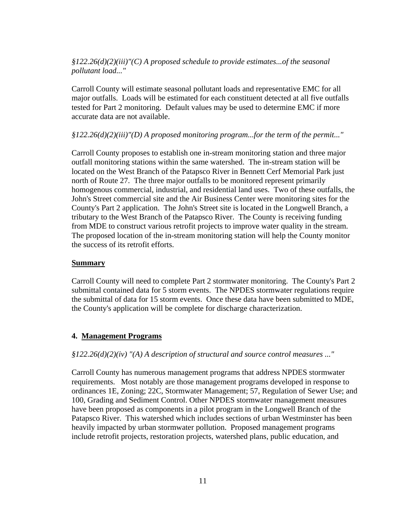# *§122.26(d)(2)(iii)"(C) A proposed schedule to provide estimates...of the seasonal pollutant load..."*

 Carroll County will estimate seasonal pollutant loads and representative EMC for all major outfalls. Loads will be estimated for each constituent detected at all five outfalls tested for Part 2 monitoring. Default values may be used to determine EMC if more accurate data are not available.

#### *§122.26(d)(2)(iii)"(D) A proposed monitoring program...for the term of the permit..."*

 Carroll County proposes to establish one in-stream monitoring station and three major outfall monitoring stations within the same watershed. The in-stream station will be located on the West Branch of the Patapsco River in Bennett Cerf Memorial Park just north of Route 27. The three major outfalls to be monitored represent primarily homogenous commercial, industrial, and residential land uses. Two of these outfalls, the John's Street commercial site and the Air Business Center were monitoring sites for the County's Part 2 application. The John's Street site is located in the Longwell Branch, a tributary to the West Branch of the Patapsco River. The County is receiving funding from MDE to construct various retrofit projects to improve water quality in the stream. The proposed location of the in-stream monitoring station will help the County monitor the success of its retrofit efforts.

#### **Summary**

 Carroll County will need to complete Part 2 stormwater monitoring. The County's Part 2 submittal contained data for 5 storm events. The NPDES stormwater regulations require the submittal of data for 15 storm events. Once these data have been submitted to MDE, the County's application will be complete for discharge characterization.

#### **4. Management Programs**

#### *§122.26(d)(2)(iv) "(A) A description of structural and source control measures ..."*

 Carroll County has numerous management programs that address NPDES stormwater requirements. Most notably are those management programs developed in response to ordinances 1E, Zoning; 22C, Stormwater Management; 57, Regulation of Sewer Use; and 100, Grading and Sediment Control. Other NPDES stormwater management measures have been proposed as components in a pilot program in the Longwell Branch of the Patapsco River. This watershed which includes sections of urban Westminster has been heavily impacted by urban stormwater pollution. Proposed management programs include retrofit projects, restoration projects, watershed plans, public education, and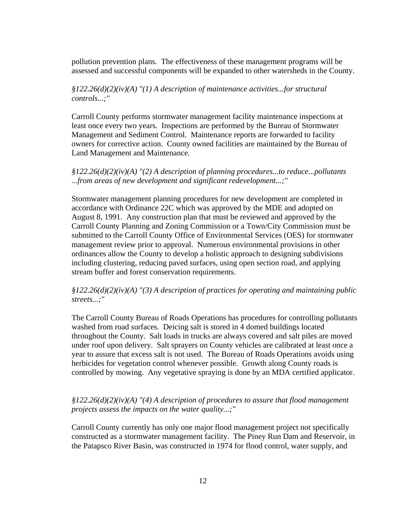pollution prevention plans. The effectiveness of these management programs will be assessed and successful components will be expanded to other watersheds in the County.

# *§122.26(d)(2)(iv)(A) "(1) A description of maintenance activities...for structural controls...;"*

 Carroll County performs stormwater management facility maintenance inspections at least once every two years. Inspections are performed by the Bureau of Stormwater Management and Sediment Control. Maintenance reports are forwarded to facility owners for corrective action. County owned facilities are maintained by the Bureau of Land Management and Maintenance.

# *§122.26(d)(2)(iv)(A) "(2) A description of planning procedures...to reduce...pollutants ...from areas of new development and significant redevelopment...;"*

 Stormwater management planning procedures for new development are completed in accordance with Ordinance 22C which was approved by the MDE and adopted on August 8, 1991. Any construction plan that must be reviewed and approved by the Carroll County Planning and Zoning Commission or a Town/City Commission must be submitted to the Carroll County Office of Environmental Services (OES) for stormwater management review prior to approval. Numerous environmental provisions in other ordinances allow the County to develop a holistic approach to designing subdivisions including clustering, reducing paved surfaces, using open section road, and applying stream buffer and forest conservation requirements.

### *§122.26(d)(2)(iv)(A) "(3) A description of practices for operating and maintaining public streets...;"*

 The Carroll County Bureau of Roads Operations has procedures for controlling pollutants washed from road surfaces. Deicing salt is stored in 4 domed buildings located throughout the County. Salt loads in trucks are always covered and salt piles are moved under roof upon delivery. Salt sprayers on County vehicles are calibrated at least once a year to assure that excess salt is not used. The Bureau of Roads Operations avoids using herbicides for vegetation control whenever possible. Growth along County roads is controlled by mowing. Any vegetative spraying is done by an MDA certified applicator.

### *§122.26(d)(2)(iv)(A) "(4) A description of procedures to assure that flood management projects assess the impacts on the water quality...;"*

 Carroll County currently has only one major flood management project not specifically constructed as a stormwater management facility. The Piney Run Dam and Reservoir, in the Patapsco River Basin, was constructed in 1974 for flood control, water supply, and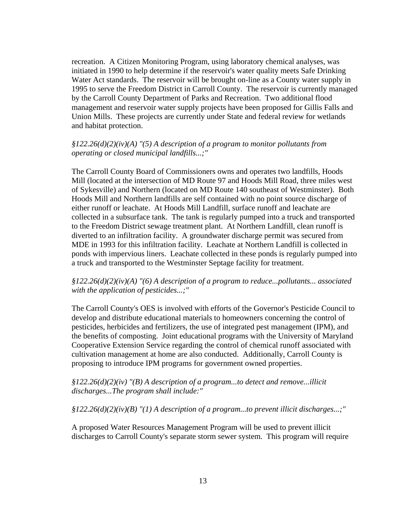recreation. A Citizen Monitoring Program, using laboratory chemical analyses, was initiated in 1990 to help determine if the reservoir's water quality meets Safe Drinking Water Act standards. The reservoir will be brought on-line as a County water supply in 1995 to serve the Freedom District in Carroll County. The reservoir is currently managed by the Carroll County Department of Parks and Recreation. Two additional flood management and reservoir water supply projects have been proposed for Gillis Falls and Union Mills. These projects are currently under State and federal review for wetlands and habitat protection.

#### *§122.26(d)(2)(iv)(A) "(5) A description of a program to monitor pollutants from operating or closed municipal landfills...;"*

 The Carroll County Board of Commissioners owns and operates two landfills, Hoods Mill (located at the intersection of MD Route 97 and Hoods Mill Road, three miles west of Sykesville) and Northern (located on MD Route 140 southeast of Westminster). Both Hoods Mill and Northern landfills are self contained with no point source discharge of either runoff or leachate. At Hoods Mill Landfill, surface runoff and leachate are collected in a subsurface tank. The tank is regularly pumped into a truck and transported to the Freedom District sewage treatment plant. At Northern Landfill, clean runoff is diverted to an infiltration facility. A groundwater discharge permit was secured from MDE in 1993 for this infiltration facility. Leachate at Northern Landfill is collected in ponds with impervious liners. Leachate collected in these ponds is regularly pumped into a truck and transported to the Westminster Septage facility for treatment.

# *§122.26(d)(2)(iv)(A) "(6) A description of a program to reduce...pollutants... associated with the application of pesticides...;"*

 The Carroll County's OES is involved with efforts of the Governor's Pesticide Council to develop and distribute educational materials to homeowners concerning the control of pesticides, herbicides and fertilizers, the use of integrated pest management (IPM), and the benefits of composting. Joint educational programs with the University of Maryland Cooperative Extension Service regarding the control of chemical runoff associated with cultivation management at home are also conducted. Additionally, Carroll County is proposing to introduce IPM programs for government owned properties.

# *§122.26(d)(2)(iv) "(B) A description of a program...to detect and remove...illicit discharges...The program shall include:"*

 *§122.26(d)(2)(iv)(B) "(1) A description of a program...to prevent illicit discharges...;"* 

 A proposed Water Resources Management Program will be used to prevent illicit discharges to Carroll County's separate storm sewer system. This program will require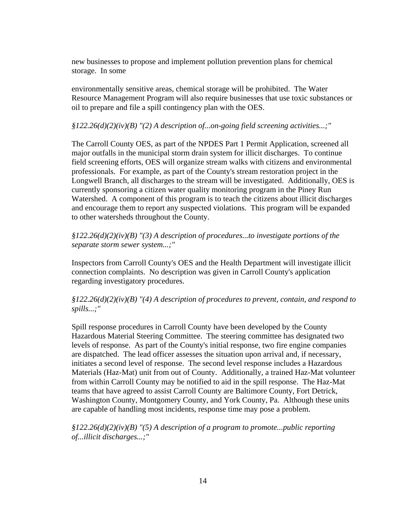new businesses to propose and implement pollution prevention plans for chemical storage. In some

 environmentally sensitive areas, chemical storage will be prohibited. The Water Resource Management Program will also require businesses that use toxic substances or oil to prepare and file a spill contingency plan with the OES.

#### *§122.26(d)(2)(iv)(B) "(2) A description of...on-going field screening activities...;"*

 The Carroll County OES, as part of the NPDES Part 1 Permit Application, screened all major outfalls in the municipal storm drain system for illicit discharges. To continue field screening efforts, OES will organize stream walks with citizens and environmental professionals. For example, as part of the County's stream restoration project in the Longwell Branch, all discharges to the stream will be investigated. Additionally, OES is currently sponsoring a citizen water quality monitoring program in the Piney Run Watershed. A component of this program is to teach the citizens about illicit discharges and encourage them to report any suspected violations. This program will be expanded to other watersheds throughout the County.

 *§122.26(d)(2)(iv)(B) "(3) A description of procedures...to investigate portions of the separate storm sewer system...;"*

 Inspectors from Carroll County's OES and the Health Department will investigate illicit connection complaints. No description was given in Carroll County's application regarding investigatory procedures.

 *§122.26(d)(2)(iv)(B) "(4) A description of procedures to prevent, contain, and respond to spills...;"* 

 Spill response procedures in Carroll County have been developed by the County Hazardous Material Steering Committee. The steering committee has designated two levels of response. As part of the County's initial response, two fire engine companies are dispatched. The lead officer assesses the situation upon arrival and, if necessary, initiates a second level of response. The second level response includes a Hazardous Materials (Haz-Mat) unit from out of County. Additionally, a trained Haz-Mat volunteer from within Carroll County may be notified to aid in the spill response. The Haz-Mat teams that have agreed to assist Carroll County are Baltimore County, Fort Detrick, Washington County, Montgomery County, and York County, Pa. Although these units are capable of handling most incidents, response time may pose a problem.

 *§122.26(d)(2)(iv)(B) "(5) A description of a program to promote...public reporting of...illicit discharges...;"*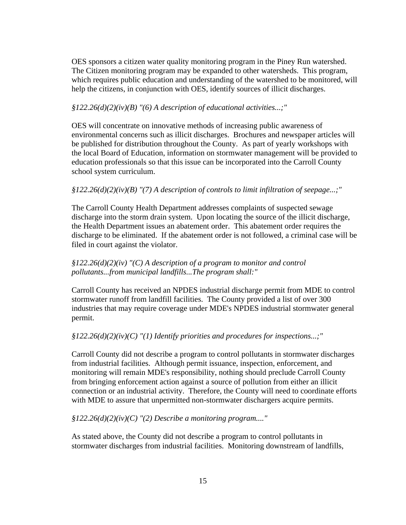OES sponsors a citizen water quality monitoring program in the Piney Run watershed. The Citizen monitoring program may be expanded to other watersheds. This program, which requires public education and understanding of the watershed to be monitored, will help the citizens, in conjunction with OES, identify sources of illicit discharges.

#### *§122.26(d)(2)(iv)(B) "(6) A description of educational activities...;"*

 OES will concentrate on innovative methods of increasing public awareness of environmental concerns such as illicit discharges. Brochures and newspaper articles will be published for distribution throughout the County. As part of yearly workshops with the local Board of Education, information on stormwater management will be provided to education professionals so that this issue can be incorporated into the Carroll County school system curriculum.

#### *§122.26(d)(2)(iv)(B) "(7) A description of controls to limit infiltration of seepage...;"*

 The Carroll County Health Department addresses complaints of suspected sewage discharge into the storm drain system. Upon locating the source of the illicit discharge, the Health Department issues an abatement order. This abatement order requires the discharge to be eliminated. If the abatement order is not followed, a criminal case will be filed in court against the violator.

# *§122.26(d)(2)(iv) "(C) A description of a program to monitor and control pollutants...from municipal landfills...The program shall:"*

 Carroll County has received an NPDES industrial discharge permit from MDE to control stormwater runoff from landfill facilities. The County provided a list of over 300 industries that may require coverage under MDE's NPDES industrial stormwater general permit.

#### *§122.26(d)(2)(iv)(C) "(1) Identify priorities and procedures for inspections...;"*

 Carroll County did not describe a program to control pollutants in stormwater discharges from industrial facilities. Although permit issuance, inspection, enforcement, and monitoring will remain MDE's responsibility, nothing should preclude Carroll County from bringing enforcement action against a source of pollution from either an illicit connection or an industrial activity. Therefore, the County will need to coordinate efforts with MDE to assure that unpermitted non-stormwater dischargers acquire permits.

 *§122.26(d)(2)(iv)(C) "(2) Describe a monitoring program...."* 

 As stated above, the County did not describe a program to control pollutants in stormwater discharges from industrial facilities. Monitoring downstream of landfills,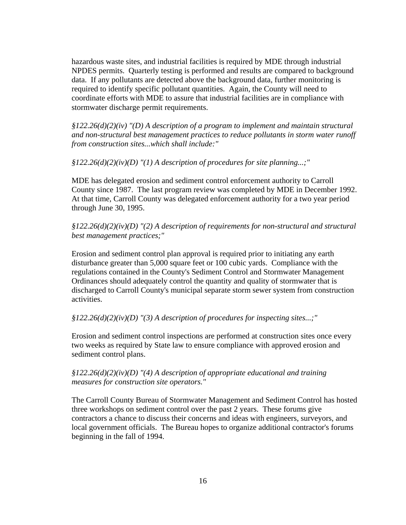hazardous waste sites, and industrial facilities is required by MDE through industrial NPDES permits. Quarterly testing is performed and results are compared to background data. If any pollutants are detected above the background data, further monitoring is required to identify specific pollutant quantities. Again, the County will need to coordinate efforts with MDE to assure that industrial facilities are in compliance with stormwater discharge permit requirements.

 *§122.26(d)(2)(iv) "(D) A description of a program to implement and maintain structural and non-structural best management practices to reduce pollutants in storm water runoff from construction sites...which shall include:"* 

 *§122.26(d)(2)(iv)(D) "(1) A description of procedures for site planning...;"* 

 MDE has delegated erosion and sediment control enforcement authority to Carroll County since 1987. The last program review was completed by MDE in December 1992. At that time, Carroll County was delegated enforcement authority for a two year period through June 30, 1995.

 *§122.26(d)(2)(iv)(D) "(2) A description of requirements for non-structural and structural best management practices;"* 

 Erosion and sediment control plan approval is required prior to initiating any earth disturbance greater than 5,000 square feet or 100 cubic yards. Compliance with the regulations contained in the County's Sediment Control and Stormwater Management Ordinances should adequately control the quantity and quality of stormwater that is discharged to Carroll County's municipal separate storm sewer system from construction activities.

# *§122.26(d)(2)(iv)(D) "(3) A description of procedures for inspecting sites...;"*

 Erosion and sediment control inspections are performed at construction sites once every two weeks as required by State law to ensure compliance with approved erosion and sediment control plans.

### *§122.26(d)(2)(iv)(D) "(4) A description of appropriate educational and training measures for construction site operators."*

 The Carroll County Bureau of Stormwater Management and Sediment Control has hosted three workshops on sediment control over the past 2 years. These forums give contractors a chance to discuss their concerns and ideas with engineers, surveyors, and local government officials. The Bureau hopes to organize additional contractor's forums beginning in the fall of 1994.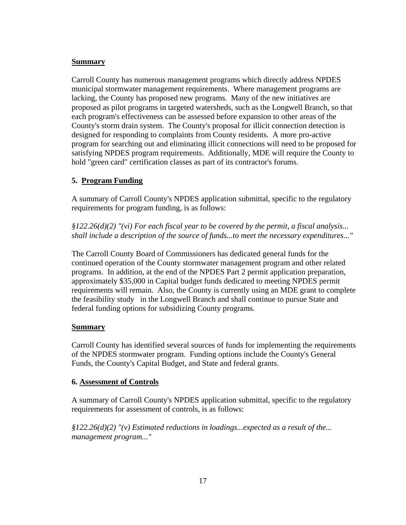### **Summary**

 Carroll County has numerous management programs which directly address NPDES municipal stormwater management requirements. Where management programs are lacking, the County has proposed new programs. Many of the new initiatives are proposed as pilot programs in targeted watersheds, such as the Longwell Branch, so that each program's effectiveness can be assessed before expansion to other areas of the County's storm drain system. The County's proposal for illicit connection detection is designed for responding to complaints from County residents. A more pro-active program for searching out and eliminating illicit connections will need to be proposed for satisfying NPDES program requirements. Additionally, MDE will require the County to hold "green card" certification classes as part of its contractor's forums.

# **5. Program Funding**

 A summary of Carroll County's NPDES application submittal, specific to the regulatory requirements for program funding, is as follows:

 *§122.26(d)(2) "(vi) For each fiscal year to be covered by the permit, a fiscal analysis... shall include a description of the source of funds...to meet the necessary expenditures..."*

 The Carroll County Board of Commissioners has dedicated general funds for the continued operation of the County stormwater management program and other related programs. In addition, at the end of the NPDES Part 2 permit application preparation, approximately \$35,000 in Capital budget funds dedicated to meeting NPDES permit requirements will remain. Also, the County is currently using an MDE grant to complete the feasibility study in the Longwell Branch and shall continue to pursue State and federal funding options for subsidizing County programs.

# **Summary**

 Carroll County has identified several sources of funds for implementing the requirements of the NPDES stormwater program. Funding options include the County's General Funds, the County's Capital Budget, and State and federal grants.

# **6. Assessment of Controls**

 A summary of Carroll County's NPDES application submittal, specific to the regulatory requirements for assessment of controls, is as follows:

 *§122.26(d)(2) "(v) Estimated reductions in loadings...expected as a result of the... management program..."*